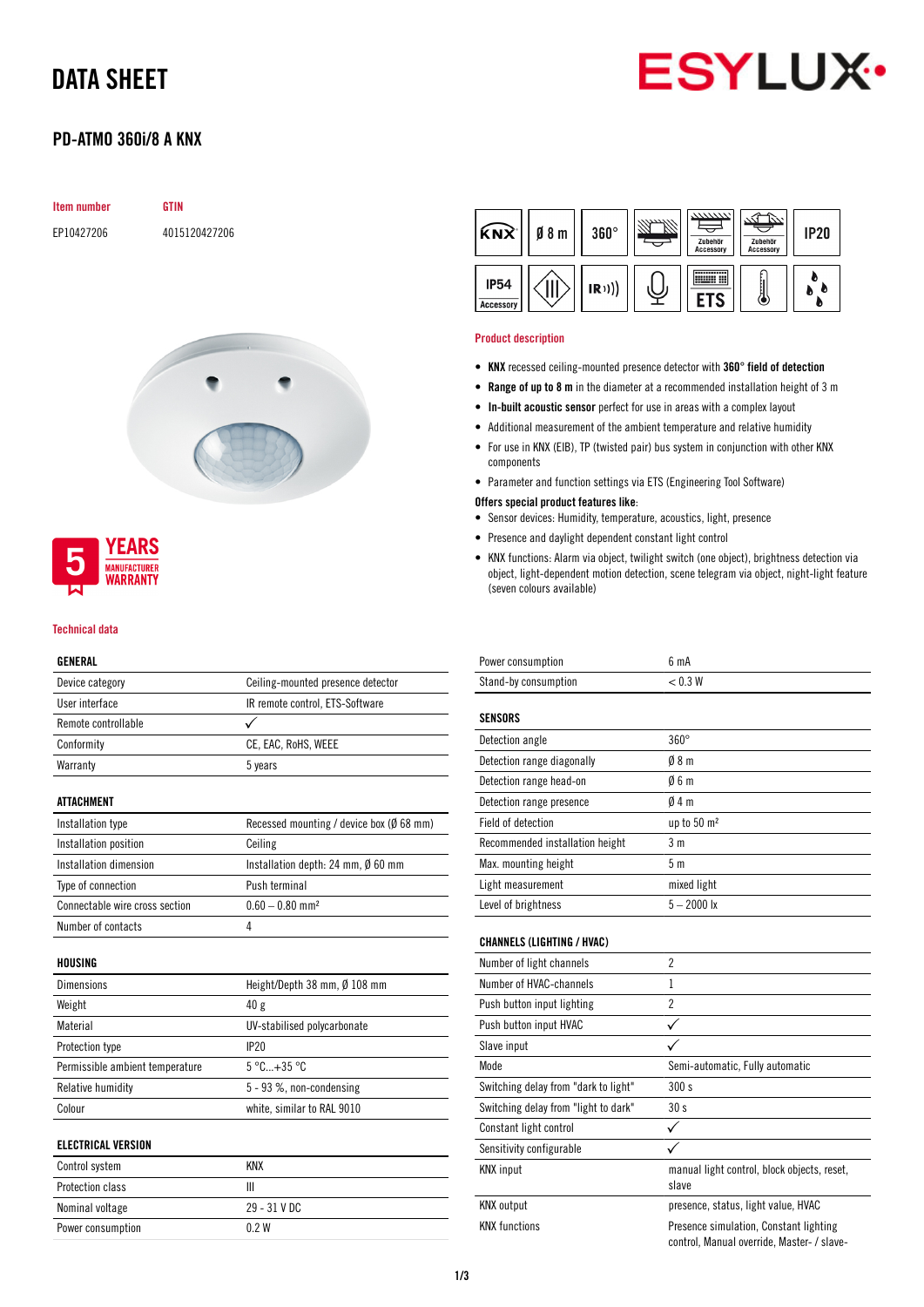## DATA SHEET



## PD-ATMO 360i/8 A KNX

| <b>Item number</b> | GTIN          |
|--------------------|---------------|
| EP10427206         | 4015120427206 |



### **YEARS MANUFACTURER** *NARRANTY*

#### Technical data

#### GENERAL

| ulnlkal                         |                                              |
|---------------------------------|----------------------------------------------|
| Device category                 | Ceiling-mounted presence detector            |
| User interface                  | IR remote control, ETS-Software              |
| Remote controllable             |                                              |
| Conformity                      | CE, EAC, RoHS, WEEE                          |
| Warranty                        | 5 years                                      |
| ATTACHMENT                      |                                              |
| Installation type               | Recessed mounting / device box (Ø 68 mm)     |
| Installation position           | Ceiling                                      |
| Installation dimension          | Installation depth: 24 mm, $\emptyset$ 60 mm |
| Type of connection              | Push terminal                                |
| Connectable wire cross section  | $0.60 - 0.80$ mm <sup>2</sup>                |
| Number of contacts              | 4                                            |
| HOUSING                         |                                              |
| <b>Dimensions</b>               | Height/Depth 38 mm, Ø 108 mm                 |
| Weight                          | 40 g                                         |
| Material                        | UV-stabilised polycarbonate                  |
| Protection type                 | IP20                                         |
| Permissible ambient temperature | $5^{\circ}$ C +35 $^{\circ}$ C               |
| Relative humidity               | 5 - 93 %, non-condensing                     |
| Colour                          | white, similar to RAL 9010                   |
| ELECTRICAL VERSION              |                                              |
| Control system                  | <b>KNX</b>                                   |
| Protection class                | Ш                                            |
| Nominal voltage                 | 29 - 31 V DC                                 |

Power consumption 0.2 W

| <b>KNX</b>               | $0/8$ m | $360^\circ$ | 7777777<br>Zubehör<br><b>Accessory</b> | Zubehör<br><b>Accessory</b> | <b>IP20</b> |
|--------------------------|---------|-------------|----------------------------------------|-----------------------------|-------------|
| <b>IP54</b><br>Accessory |         | (R))        |                                        |                             |             |

#### Product description

- KNX recessed ceiling-mounted presence detector with 360° field of detection
- Range of up to 8 m in the diameter at a recommended installation height of 3 m
- In-built acoustic sensor perfect for use in areas with a complex layout
- Additional measurement of the ambient temperature and relative humidity
- For use in KNX (EIB), TP (twisted pair) bus system in conjunction with other KNX components
- Parameter and function settings via ETS (Engineering Tool Software)

#### Offers special product features like:

- Sensor devices: Humidity, temperature, acoustics, light, presence
- Presence and daylight dependent constant light control
- KNX functions: Alarm via object, twilight switch (one object), brightness detection via object, light-dependent motion detection, scene telegram via object, night-light feature (seven colours available)

| Power consumption                    | 6 mA                                                                                 |
|--------------------------------------|--------------------------------------------------------------------------------------|
| Stand-by consumption                 | < 0.3 W                                                                              |
| <b>SENSORS</b>                       |                                                                                      |
| Detection angle                      | $360^\circ$                                                                          |
| Detection range diagonally           | 08 <sub>m</sub>                                                                      |
| Detection range head-on              | 06m                                                                                  |
| Detection range presence             | 04m                                                                                  |
| Field of detection                   | up to $50 \text{ m}^2$                                                               |
| Recommended installation height      | 3 <sub>m</sub>                                                                       |
| Max. mounting height                 | 5 <sub>m</sub>                                                                       |
| Light measurement                    | mixed light                                                                          |
| Level of brightness                  | $5 - 2000$ lx                                                                        |
| <b>CHANNELS (LIGHTING / HVAC)</b>    |                                                                                      |
| Number of light channels             | $\overline{2}$                                                                       |
| Number of HVAC-channels              | $\mathbf{1}$                                                                         |
| Push button input lighting           | $\overline{c}$                                                                       |
| Push button input HVAC               | ✓                                                                                    |
| Slave input                          |                                                                                      |
| Mode                                 | Semi-automatic, Fully automatic                                                      |
| Switching delay from "dark to light" | 300s                                                                                 |
| Switching delay from "light to dark" | 30 s                                                                                 |
| Constant light control               | ✓                                                                                    |
| Sensitivity configurable             |                                                                                      |
| <b>KNX</b> input                     | manual light control, block objects, reset,<br>slave                                 |
| <b>KNX</b> output                    | presence, status, light value, HVAC                                                  |
| <b>KNX</b> functions                 | Presence simulation, Constant lighting<br>control, Manual override, Master- / slave- |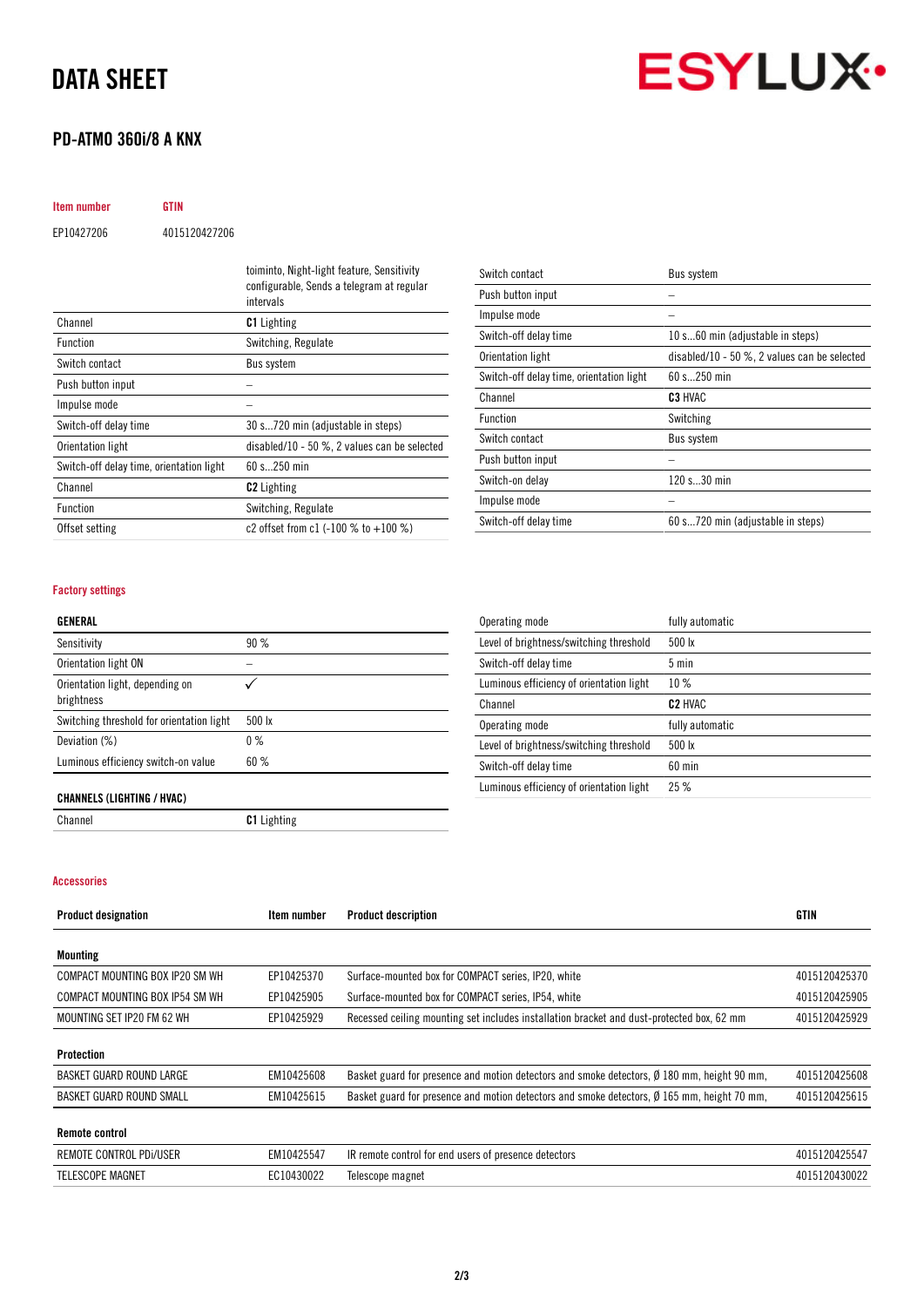## DATA SHEET

## PD-ATMO 360i/8 A KNX

**ESYLUX** 

| Item number | GTIN          |                                            |
|-------------|---------------|--------------------------------------------|
| EP10427206  | 4015120427206 |                                            |
|             |               | toiminto, Night-light feature, Sensitivity |

|                                          | configurable, Sends a telegram at regular<br>intervals |
|------------------------------------------|--------------------------------------------------------|
| Channel                                  | <b>C1</b> Lighting                                     |
| <b>Function</b>                          | Switching, Regulate                                    |
| Switch contact                           | <b>Bus system</b>                                      |
| Push button input                        |                                                        |
| Impulse mode                             |                                                        |
| Switch-off delay time                    | 30 s720 min (adjustable in steps)                      |
| Orientation light                        | disabled/10 - 50 $\%$ , 2 values can be selected       |
| Switch-off delay time, orientation light | $60 s$ 250 min                                         |
| Channel                                  | <b>C2</b> Lighting                                     |
| <b>Function</b>                          | Switching, Regulate                                    |
| Offset setting                           | c2 offset from c1 $(-100 % t0 + 100 % t)$              |

| Switch contact                           | Bus system                                   |
|------------------------------------------|----------------------------------------------|
| Push button input                        |                                              |
| Impulse mode                             |                                              |
| Switch-off delay time                    | 10 s60 min (adjustable in steps)             |
| Orientation light                        | disabled/10 - 50 %, 2 values can be selected |
| Switch-off delay time, orientation light | 60 s 250 min                                 |
| Channel                                  | C <sub>3</sub> HVAC                          |
| <b>Function</b>                          | Switching                                    |
| Switch contact                           | Bus system                                   |
| Push button input                        |                                              |
| Switch-on delay                          | 120 s30 min                                  |
| Impulse mode                             |                                              |
| Switch-off delay time                    | 60 s720 min (adjustable in steps)            |

#### Factory settings

#### GENERAL

| Sensitivity                                   | 90%    |
|-----------------------------------------------|--------|
| Orientation light ON                          |        |
| Orientation light, depending on<br>brightness |        |
| Switching threshold for orientation light     | 500 lx |
| Deviation (%)                                 | $0\%$  |
| Luminous efficiency switch-on value           | 60%    |
|                                               |        |

| Operating mode                           | fully automatic     |
|------------------------------------------|---------------------|
| Level of brightness/switching threshold  | $500 \text{ lx}$    |
| Switch-off delay time                    | $5 \text{ min}$     |
| Luminous efficiency of orientation light | 10%                 |
| Channel                                  | C <sub>2</sub> HVAC |
| Operating mode                           | fully automatic     |
| Level of brightness/switching threshold  | $500 \text{ lx}$    |
| Switch-off delay time                    | $60$ min            |
| Luminous efficiency of orientation light | 25%                 |

#### CHANNELS (LIGHTING / HVAC)

Channel Channel C1 Lighting

## Accessories

| <b>Product designation</b>      | Item number | <b>Product description</b>                                                                            | <b>GTIN</b>   |
|---------------------------------|-------------|-------------------------------------------------------------------------------------------------------|---------------|
| Mounting                        |             |                                                                                                       |               |
|                                 |             |                                                                                                       |               |
| COMPACT MOUNTING BOX IP20 SM WH | EP10425370  | Surface-mounted box for COMPACT series, IP20, white                                                   | 4015120425370 |
| COMPACT MOUNTING BOX IP54 SM WH | EP10425905  | Surface-mounted box for COMPACT series, IP54, white                                                   | 4015120425905 |
| MOUNTING SET IP20 FM 62 WH      | EP10425929  | Recessed ceiling mounting set includes installation bracket and dust-protected box, 62 mm             | 4015120425929 |
| Protection                      |             |                                                                                                       |               |
| BASKET GUARD ROUND LARGE        | EM10425608  | Basket guard for presence and motion detectors and smoke detectors, $\emptyset$ 180 mm, height 90 mm, | 4015120425608 |
| BASKET GUARD ROUND SMALL        | EM10425615  | Basket guard for presence and motion detectors and smoke detectors, Ø 165 mm, height 70 mm,           | 4015120425615 |
| <b>Remote control</b>           |             |                                                                                                       |               |
| REMOTE CONTROL PDI/USER         | EM10425547  | IR remote control for end users of presence detectors                                                 | 4015120425547 |
| <b>TELESCOPE MAGNET</b>         | EC10430022  | Telescope magnet                                                                                      | 4015120430022 |